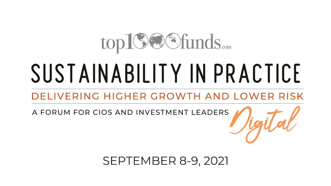## top19@Sfunds.....

# SUSTAINABILITY IN PRACTICE

### DELIVERING HIGHER GROWTH AND LOWER RISK

A FORUM FOR CIOS AND INVESTMENT LEADERS

**SEPTEMBER 8-9, 2021**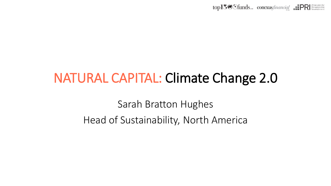

### NATURAL CAPITAL: Climate Change 2.0

Sarah Bratton Hughes Head of Sustainability, North America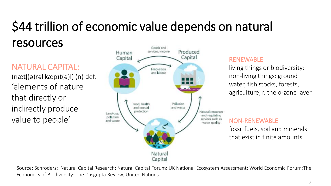### \$44 trillion of economic value depends on natural resources

NATURAL CAPITAL: (nætʃ(ə)rəl kæpɪt(ə)l) (n) def. 'elements of nature that directly or indirectly produce value to people'



#### RENEWABLE

living things or biodiversity: non-living things: ground water, fish stocks, forests, agriculture; r, the o-zone layer

#### NON-RENEWABLE

fossil fuels, soil and minerals that exist in finite amounts

Source: Schroders; Natural Capital Research; Natural Capital Forum; UK National Ecosystem Assessment; World Economic Forum; The Economics of Biodiversity: The Dasgupta Review; United Nations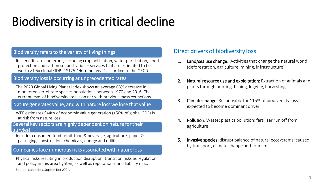### Biodiversity is in critical decline

#### Biodiversity refers to the variety of living things

Its benefits are numerous, including crop pollination, water purification, flood protection and carbon sequestration – services that are estimated to be worth >1.5x global GDP (~\$125-140tn per year) according to the OECD.

#### Biodiversity loss is occurring at unprecedented rates

The 2020 Global Living Planet Index shows an average 68% decrease in monitored vertebrate species populations between 1970 and 2016. The current level of biodiversity loss is on par with previous mass extinctions.

#### Nature generates value, and with nature loss we lose that value

WEF estimates \$44tn of economic value generation (>50% of global GDP) is at risk from nature loss.

#### Several key sectors are highly dependent on nature for their survival

Includes consumer, food retail, food & beverage, agriculture, paper & packaging, construction, chemicals, energy and utilities.

#### Companies face numerous risks associated with nature loss

Source: Schroders, September 2021. Physical risks resulting in production disruption, transition risks as regulation and policy in this area tighten, as well as reputational and liability risks.

#### Direct drivers of biodiversity loss

- 1. Land/sea use change: Activities that change the natural world (deforestation, agriculture, mining, infrastructure)
- 2. Natural resource use and exploitation: Extraction of animals and plants through hunting, fishing, logging, harvesting
- **3.** Climate change: Responsible for ~15% of biodiversity loss; expected to become dominant driver
- 4. Pollution: Waste; plastics pollution; fertilizer run off from agriculture
- 5. Invasive species: disrupt balance of natural ecosystems; caused by transport, climate change and tourism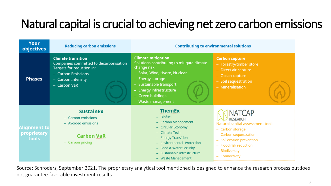### Natural capital is crucial to achieving net zero carbon emissions

| Your<br>objectives                          | <b>Reducing carbon emissions</b>                                                                                                                               | <b>Contributing to environmental solutions</b>                                                                                                                                                                                               |                                                                                                                                                                                                                                       |
|---------------------------------------------|----------------------------------------------------------------------------------------------------------------------------------------------------------------|----------------------------------------------------------------------------------------------------------------------------------------------------------------------------------------------------------------------------------------------|---------------------------------------------------------------------------------------------------------------------------------------------------------------------------------------------------------------------------------------|
| <b>Phases</b>                               | <b>Climate transition</b><br>Companies committed to decarbonisation<br>Targets for reduction in:<br>- Carbon Emissions<br>- Carbon Intensity<br>$-$ Carbon VaR | <b>Climate mitigation</b><br>Solutions contributing to mitigate climate<br>change risk<br>- Solar, Wind, Hydro, Nuclear<br>- Energy storage<br>- Sustainable transport<br>- Energy infrastructure<br>- Green buildings<br>- Waste management | <b>Carbon capture</b><br>- Forestry/timber store<br>- Direct air capture<br>$-$ Ocean capture<br>$-$ Soil sequestration<br>$-$ Mineralisation                                                                                         |
| <b>Alignment to</b><br>proprietary<br>tools | <b>SustainEx</b><br>$-$ Carbon emissions<br>- Avoided emissions<br><b>Carbon VaR</b><br>Carbon pricing                                                         | <b>ThemEx</b><br>$-$ Biofuel<br>- Carbon Management<br>- Circular Economy<br>$-$ Climate Tech<br>- Energy Transition<br>- Environmental Protection<br>- Food & Water Security<br>- Sustainable infrastructure<br>- Waste Management          | <b>NATCAP</b><br>RESEARCH<br>Natural capital assessment tool:<br>Carbon storage<br>÷,<br>Carbon sequestration<br>-<br>Soil erosion prevention<br>÷<br><b>Flood risk reduction</b><br>÷.<br><b>Biodiversity</b><br>÷<br>- Connectivity |

Source: Schroders, September 2021. The proprietary analytical tool mentioned is designed to enhance the research process but does not guarantee favorable investment results.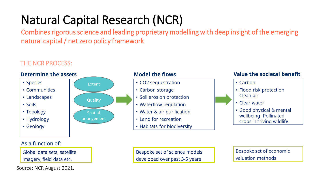### Natural Capital Research (NCR)

Combines rigorous science and leading proprietary modelling with deep insight of the emerging natural capital / net zero policy framework

#### THE NCR PROCESS:



Global data sets, satellite

imagery, field data etc.

Source: NCR August 2021.

Bespoke set of science models developed over past 3-5 years

Bespoke set of economic valuation methods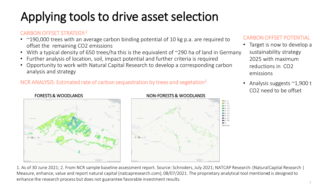### Applying tools to drive asset selection

#### CARBON OFFSET STRATEGY:<sup>1</sup>

- $\sim$  190,000 trees with an average carbon binding potential of 10 kg p.a. are required to offset the remaining CO2 emissions
- With a typical density of 650 trees/ha this is the equivalent of ~290 ha of land in Germany
- Further analysis of location, soil, impact potential and further criteria is required
- Opportunity to work with Natural Capital Research to develop a corresponding carbon analysis and strategy

#### NCR ANALYSIS: Estimated rate of carbon sequestration by trees and vegetation<sup>2</sup>



#### FORESTS & WOODLANDS NON-FORESTS & WOODLANDS



#### CARBON OFFSET POTENTIAL

- Target is now to develop a sustainability strategy 2025 with maximum reductions in CO2 emissions
- Analysis suggests ~1,900 t CO2 need to be offset

1. As of 30 June 2021; 2. From NCR sample baseline assessment report. Source: Schroders, July 2021; NATCAP Research: (NaturalCapital Research | Measure, enhance, value and report natural capital (natcapresearch.com), 08/07/2021. The proprietary analytical tool mentioned is designed to enhance the research process but does not guarantee favorable investment results.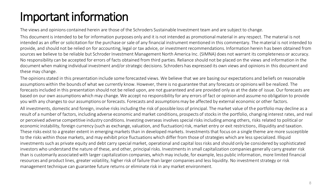### Important information

The views and opinions contained herein are those of the Schroders Sustainable Investment team and are subject to change.

This document is intended to be for information purposes only and it is not intended as promotional material in any respect. The material is not intended as an offer or solicitation for the purchase or sale of any financial instrument mentioned in this commentary. The material is not intended to provide, and should not be relied on for accounting, legal or tax advice, or investment recommendations. Information herein has been obtained from sources we believe to be reliable but Schroder Investment Management North America Inc. (SIMNA) does not warrant its completeness or accuracy. No responsibility can be accepted for errors of facts obtained from third parties. Reliance should not be placed on the views and information in the document when making individual investment and/or strategic decisions. Schroders has expressed its own views and opinions in this document and these may change.

The opinions stated in this presentation include some forecasted views. We believe that we are basing our expectations and beliefs on reasonable assumptions within the bounds of what we currently know. However, there is no guarantee that any forecasts or opinions will be realized. The forecasts included in this presentation should not be relied upon, are not guaranteed and are provided only as at the date of issue. Our forecasts are based on our own assumptions which may change. We accept no responsibility for any errors of fact or opinion and assume no obligation to provide you with any changes to our assumptions or forecasts. Forecasts and assumptions may be affected by external economic or other factors.

All investments, domestic and foreign, involve risks including the risk of possible loss of principal. The market value of the portfolio may decline as a result of a number of factors, including adverse economic and market conditions, prospects of stocks in the portfolio, changing interest rates, and real or perceived adverse competitive industry conditions. Investing overseas involves special risks including among others, risks related to political or economic instability, foreign currency (such as exchange, valuation, and fluctuation) risk, market entry or exit restrictions, illiquidity and taxation. These risks exist to a greater extent in emerging markets than in developed markets. Investments that focus on a single theme are more susceptible to the risks within those markets, and may exhibit price fluctuations which differ from those of strategies which are less specialized. Illiquid investments such as private equity and debt carry special market, operational and capital loss risks and should only be considered by sophisticated investors who understand the nature of these, and other, principal risks. Investments in small capitalization companies generally carry greater risk than is customarily associated with larger capitalization companies, which may include, for example, less public information, more limited financial resources and product lines, greater volatility, higher risk of failure than larger companies and less liquidity. No investment strategy or risk management technique can guarantee future returns or eliminate risk in any market environment.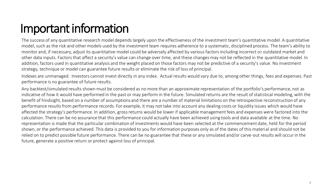### Important information

The success of any quantitative research model depends largely upon the effectiveness of the investment team's quantitative model. A quantitative model, such as the risk and other models used by the investment team requires adherence to a systematic, disciplined process. The team's ability to monitor and, if necessary, adjust its quantitative model could be adversely affected by various factors including incorrect or outdated market and other data inputs. Factors that affect a security's value can change over time, and these changes may not be reflected in the quantitative model. In addition, factors used in quantitative analysis and the weight placed on those factors may not be predictive of a security's value. No investment strategy, technique or model can guarantee future results or eliminate the risk of loss of principal.

Indexes are unmanaged. Investors cannot invest directly in any index. Actual results would vary due to, among other things, fees and expenses. Past performance is no guarantee of future results.

Any backtest/simulated results shown must be considered as no more than an approximate representation of the portfolio's performance, not as indicative of how it would have performed in the past or may perform in the future. Simulated returns are the result of statistical modeling, with the benefit of hindsight, based on a number of assumptions and there are a number of material limitations on the retrospective reconstruction of any performance results from performance records. For example, it may not take into account any dealing costs or liquidity issues which would have affected the strategy's performance. In addition, gross returns would be lower if applicable management fees and expenses were factored into the calculation. There can be no assurance that this performance could actually have been achieved using tools and data available at the time. No representation is made that the particular combination of investments would have been selected at the commencement date, held for the period shown, or the performance achieved. This data is provided to you for information purposes only as of the dates of this material and should not be relied on to predict possible future performance. There can be no guarantee that these or any simulated and/or carve-out results will occur in the future, generate a positive return or protect against loss of principal.